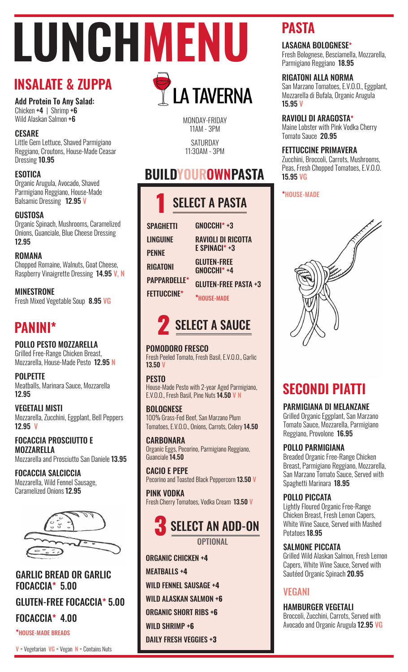# **LUNCHMENU**

# **INSALATE & ZUPPA**

Add Protein To Any Salad: Chicken  $+4$  | Shrimp  $+6$ Wild Alaskan Salmon +6

# **CESARF**

Little Gem Lettuce, Shaved Parmigiano Reggiano, Croutons, House-Made Ceasar Dressing 10.95

# **ESOTICA**

Organic Arugula, Avocado, Shaved Parmigiano Reggiano, House-Made Balsamic Dressing 12.95 V

## GUSTOSA

Organic Spinach, Mushrooms, Caramelized Onions, Guanciale, Blue Cheese Dressing 12.95

#### ROMANA

Chopped Romaine, Walnuts, Goat Cheese, Raspberry Vinaigrette Dressing 14.95 V, N

MINESTRONE Fresh Mixed Vegetable Soup 8.95 VG

# **PANINI\***

POLLO PESTO MOZZARELLA Grilled Free-Range Chicken Breast, Mozzarella, House-Made Pesto 12.95 N

**POLPETTE** Meatballs, Marinara Sauce, Mozzarella 12.95

VEGETALI MISTI Mozzarella, Zucchini, Eggplant, Bell Peppers 12.95 V

FOCACCIA PROSCIUTTO E MOZZARELLA Mozzarella and Prosciutto San Daniele 13.95

FOCACCIA SALCICCIA Mozzarella, Wild Fennel Sausage, Caramelized Onions 12.95



# GARLIC BREAD OR GARLIC FOCACCIA\* 5.00 GLUTEN-FREE FOCACCIA\* 5.00 FOCACCIA\* 4.00 \*HOUSE-MADE BREADS

11AM - 3PM SATURDAY 11:30AM - 3PM

# **BUILDYOUROWNPASTA**

MONDAY-FRIDAY

**LA TAVERNA** 

| <b>SELECT A PASTA</b> |                                         |
|-----------------------|-----------------------------------------|
| <b>SPAGHETTI</b>      | GNOCCHI*+3                              |
| <b>LINGUINE</b>       | <b>RAVIOLI DI RICOTTA</b>               |
| <b>PENNE</b>          | E SPINACI* +3                           |
| <b>RIGATONI</b>       | <b>GLUTEN-FREE</b><br><b>GNOCCHI*+4</b> |
| <b>PAPPARDELLE*</b>   | <b>GLUTEN-FREE PASTA +3</b>             |
| <b>FETTUCCINE*</b>    | <b>*HOUSE-MADE</b>                      |

# **2** SELECT A SAUCE

# POMODORO FRESCO

Fresh Peeled Tomato, Fresh Basil, E.V.O.O., Garlic 13.50 V

#### **PESTO**

House-Made Pesto with 2-year Aged Parmigiano, E.V.O.O., Fresh Basil, Pine Nuts 14.50 V N

#### **BOLOGNESE**

100% Grass-Fed Beef, San Marzano Plum Tomatoes, E.V.O.O., Onions, Carrots, Celery 14.50

**CARBONARA** Organic Eggs, Pecorino, Parmigiano Reggiano, Guanciale 14.50

CACIO E PEPE Pecorino and Toasted Black Peppercorn 13.50 V

PINK VODKA Fresh Cherry Tomatoes, Vodka Cream 13.50 V



ORGANIC CHICKEN +4 ORGANIC CHICKEN **+4** MEATBALLS +4 MEATBALLS **+4** WILD FENNEL SAUSAGE +4 WILD FENNEL SAUSAGE **+4** WILD ALASKAN SALMON +6 WILD ALASKAN SALMON **+6** ORGANIC SHORT RIBS +6 ORGANIC SHORT RIBS **+6** WILD SHRIMP +6 WILD SHRIMP **+6** DAILY FRESH VEGGIES +3 DAILY FRESH VEGGIES **+3**

# **PASTA**

## LASAGNA BOLOGNESE\*

Fresh Bolognese, Besciamella, Mozzarella, Parmigiano Reggiano 18.95

# RIGATONI ALLA NORMA

San Marzano Tomatoes, E.V.O.O., Eggplant, Mozzarella di Bufala, Organic Arugula 15.95 V

# RAVIOLI DI ARAGOSTA\*

Maine Lobster with Pink Vodka Cherry Tomato Sauce 20.95

# FETTUCCINE PRIMAVERA

Zucchini, Broccoli, Carrots, Mushrooms, Peas, Fresh Chopped Tomatoes, E.V.O.O. 15.95 VG

## \*HOUSE-MADE



# **SECONDI PIATTI**

# PARMIGIANA DI MELANZANE

Grilled Organic Eggplant, San Marzano Tomato Sauce, Mozzarella, Parmigiano Reggiano, Provolone 16.95

# POLLO PARMIGIANA

Breaded Organic Free-Range Chicken Breast, Parmigiano Reggiano, Mozzarella, San Marzano Tomato Sauce, Served with Spaghetti Marinara 18.95

# POLLO PICCATA

Lightly Floured Organic Free-Range Chicken Breast, Fresh Lemon Capers, White Wine Sauce, Served with Mashed Potatoes 18.95

# SALMONE PICCATA

Grilled Wild Alaskan Salmon, Fresh Lemon Capers, White Wine Sauce, Served with Sautéed Organic Spinach 20.95

# VEGANI

HAMBURGER VEGETALI

Broccoli, Zucchini, Carrots, Served with Avocado and Organic Arugula 12.95 VG